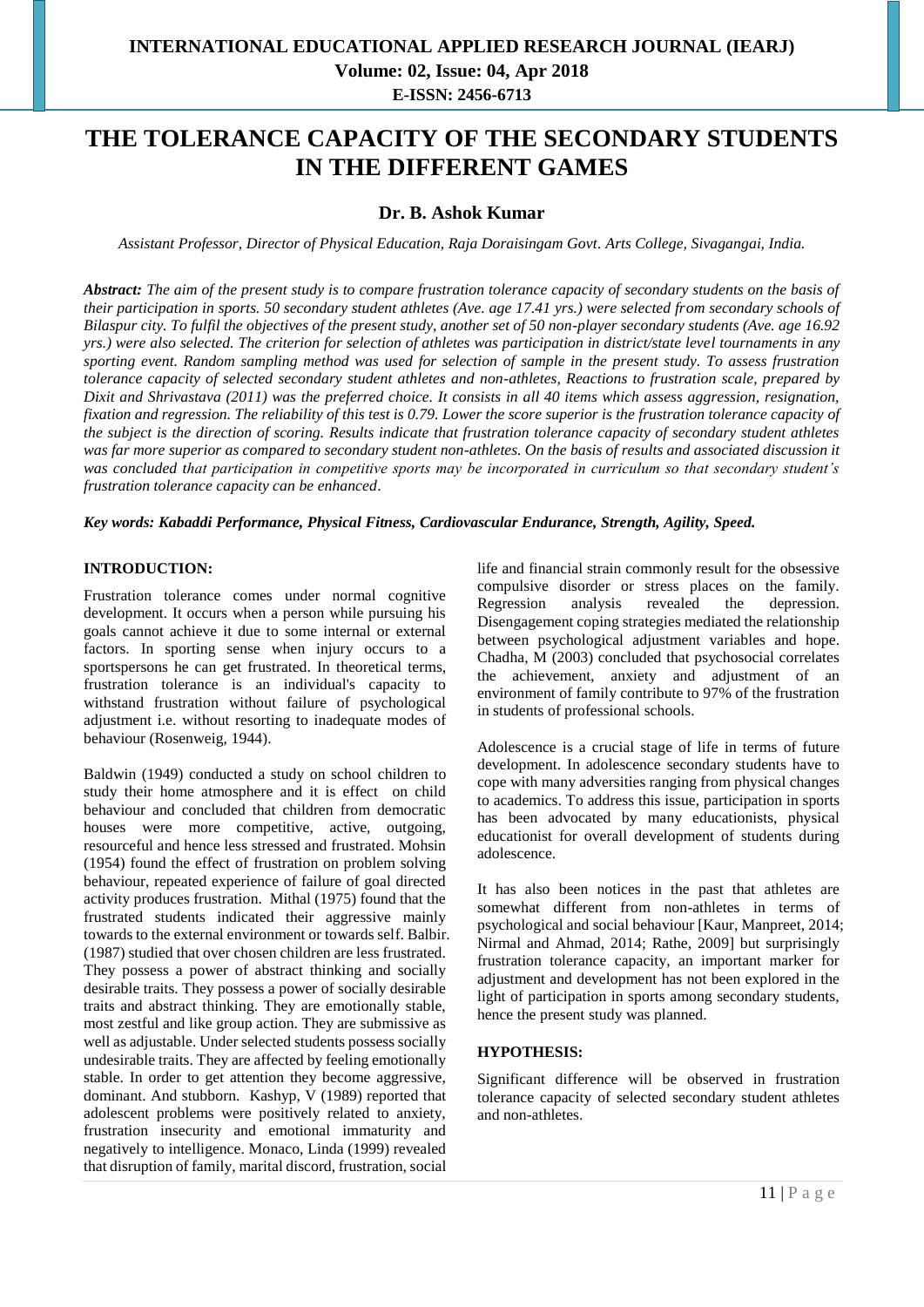# **INTERNATIONAL EDUCATIONAL APPLIED RESEARCH JOURNAL (IEARJ) Volume: 02, Issue: 04, Apr 2018 E-ISSN: 2456-6713**

# **THE TOLERANCE CAPACITY OF THE SECONDARY STUDENTS IN THE DIFFERENT GAMES**

## **Dr. B. Ashok Kumar**

*Assistant Professor, Director of Physical Education, Raja Doraisingam Govt. Arts College, Sivagangai, India.*

*Abstract: The aim of the present study is to compare frustration tolerance capacity of secondary students on the basis of their participation in sports. 50 secondary student athletes (Ave. age 17.41 yrs.) were selected from secondary schools of Bilaspur city. To fulfil the objectives of the present study, another set of 50 non-player secondary students (Ave. age 16.92 yrs.) were also selected. The criterion for selection of athletes was participation in district/state level tournaments in any sporting event. Random sampling method was used for selection of sample in the present study. To assess frustration tolerance capacity of selected secondary student athletes and non-athletes, Reactions to frustration scale, prepared by Dixit and Shrivastava (2011) was the preferred choice. It consists in all 40 items which assess aggression, resignation, fixation and regression. The reliability of this test is 0.79. Lower the score superior is the frustration tolerance capacity of the subject is the direction of scoring. Results indicate that frustration tolerance capacity of secondary student athletes was far more superior as compared to secondary student non-athletes. On the basis of results and associated discussion it was concluded that participation in competitive sports may be incorporated in curriculum so that secondary student's frustration tolerance capacity can be enhanced*.

*Key words: Kabaddi Performance, Physical Fitness, Cardiovascular Endurance, Strength, Agility, Speed.*

#### **INTRODUCTION:**

Frustration tolerance comes under normal cognitive development. It occurs when a person while pursuing his goals cannot achieve it due to some internal or external factors. In sporting sense when injury occurs to a sportspersons he can get frustrated. In theoretical terms, frustration tolerance is an individual's capacity to withstand frustration without failure of psychological adjustment i.e. without resorting to inadequate modes of behaviour (Rosenweig, 1944).

Baldwin (1949) conducted a study on school children to study their home atmosphere and it is effect on child behaviour and concluded that children from democratic houses were more competitive, active, outgoing, resourceful and hence less stressed and frustrated. Mohsin (1954) found the effect of frustration on problem solving behaviour, repeated experience of failure of goal directed activity produces frustration. Mithal (1975) found that the frustrated students indicated their aggressive mainly towards to the external environment or towards self. Balbir. (1987) studied that over chosen children are less frustrated. They possess a power of abstract thinking and socially desirable traits. They possess a power of socially desirable traits and abstract thinking. They are emotionally stable, most zestful and like group action. They are submissive as well as adjustable. Under selected students possess socially undesirable traits. They are affected by feeling emotionally stable. In order to get attention they become aggressive, dominant. And stubborn. Kashyp, V (1989) reported that adolescent problems were positively related to anxiety, frustration insecurity and emotional immaturity and negatively to intelligence. Monaco, Linda (1999) revealed that disruption of family, marital discord, frustration, social

life and financial strain commonly result for the obsessive compulsive disorder or stress places on the family. Regression analysis revealed the depression. Disengagement coping strategies mediated the relationship between psychological adjustment variables and hope. Chadha, M (2003) concluded that psychosocial correlates the achievement, anxiety and adjustment of an environment of family contribute to 97% of the frustration in students of professional schools.

Adolescence is a crucial stage of life in terms of future development. In adolescence secondary students have to cope with many adversities ranging from physical changes to academics. To address this issue, participation in sports has been advocated by many educationists, physical educationist for overall development of students during adolescence.

It has also been notices in the past that athletes are somewhat different from non-athletes in terms of psychological and social behaviour [Kaur, Manpreet, 2014; Nirmal and Ahmad, 2014; Rathe, 2009] but surprisingly frustration tolerance capacity, an important marker for adjustment and development has not been explored in the light of participation in sports among secondary students, hence the present study was planned.

#### **HYPOTHESIS:**

Significant difference will be observed in frustration tolerance capacity of selected secondary student athletes and non-athletes.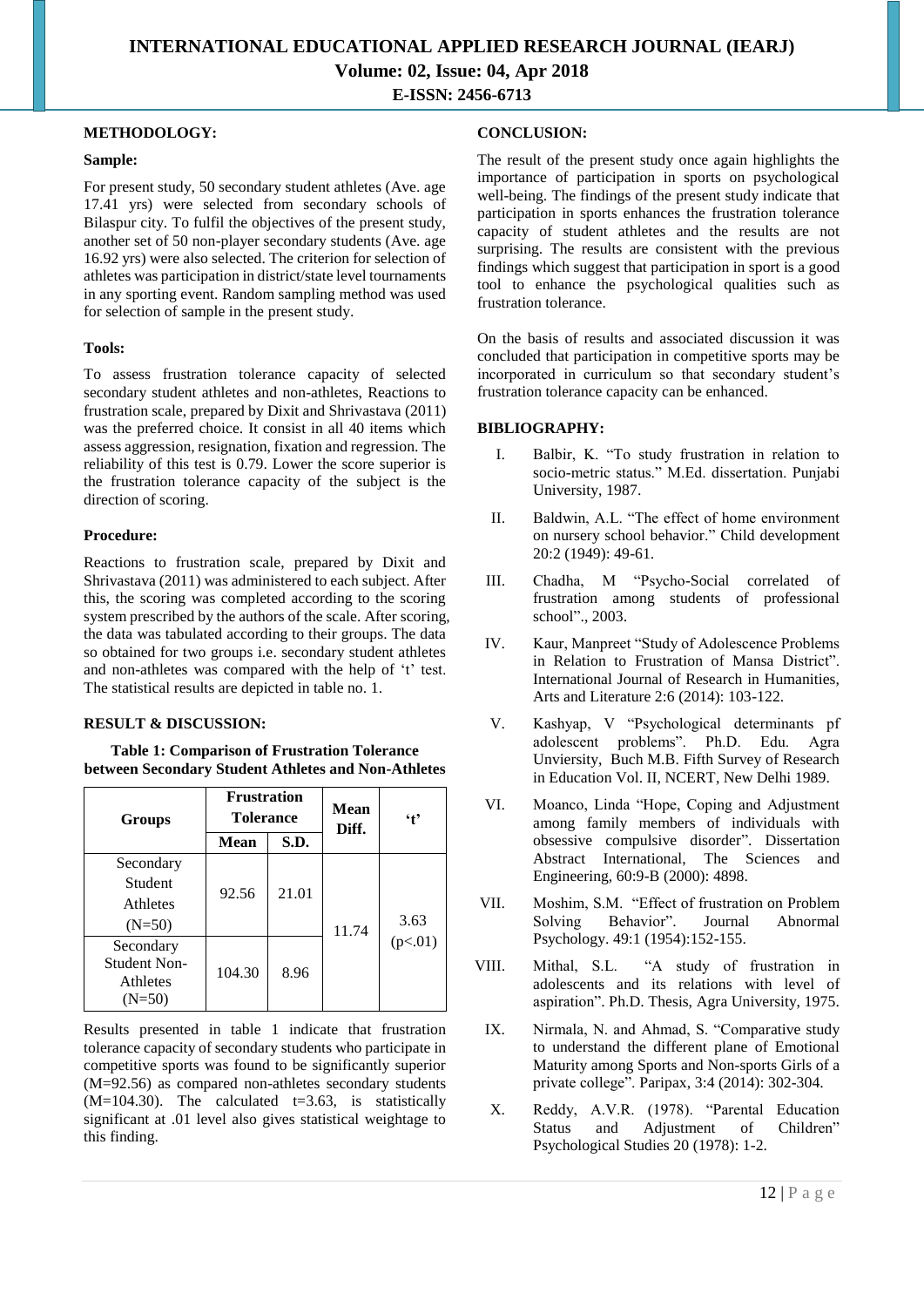# **INTERNATIONAL EDUCATIONAL APPLIED RESEARCH JOURNAL (IEARJ) Volume: 02, Issue: 04, Apr 2018 E-ISSN: 2456-6713**

#### **METHODOLOGY:**

#### **Sample:**

For present study, 50 secondary student athletes (Ave. age 17.41 yrs) were selected from secondary schools of Bilaspur city. To fulfil the objectives of the present study, another set of 50 non-player secondary students (Ave. age 16.92 yrs) were also selected. The criterion for selection of athletes was participation in district/state level tournaments in any sporting event. Random sampling method was used for selection of sample in the present study.

#### **Tools:**

To assess frustration tolerance capacity of selected secondary student athletes and non-athletes, Reactions to frustration scale, prepared by Dixit and Shrivastava (2011) was the preferred choice. It consist in all 40 items which assess aggression, resignation, fixation and regression. The reliability of this test is 0.79. Lower the score superior is the frustration tolerance capacity of the subject is the direction of scoring.

#### **Procedure:**

Reactions to frustration scale, prepared by Dixit and Shrivastava (2011) was administered to each subject. After this, the scoring was completed according to the scoring system prescribed by the authors of the scale. After scoring, the data was tabulated according to their groups. The data so obtained for two groups i.e. secondary student athletes and non-athletes was compared with the help of 't' test. The statistical results are depicted in table no. 1.

### **RESULT & DISCUSSION:**

**Table 1: Comparison of Frustration Tolerance between Secondary Student Athletes and Non-Athletes**

| <b>Groups</b>                                            | <b>Frustration</b><br><b>Tolerance</b> |       | <b>Mean</b><br>Diff. | $\cdot$ t       |
|----------------------------------------------------------|----------------------------------------|-------|----------------------|-----------------|
|                                                          | <b>Mean</b>                            | S.D.  |                      |                 |
| Secondary<br>Student<br>Athletes<br>$(N=50)$             | 92.56                                  | 21.01 | 11.74                | 3.63<br>(p<.01) |
| Secondary<br><b>Student Non-</b><br>Athletes<br>$(N=50)$ | 104.30                                 | 8.96  |                      |                 |

Results presented in table 1 indicate that frustration tolerance capacity of secondary students who participate in competitive sports was found to be significantly superior (M=92.56) as compared non-athletes secondary students  $(M=104.30)$ . The calculated t=3.63, is statistically significant at .01 level also gives statistical weightage to this finding.

## **CONCLUSION:**

The result of the present study once again highlights the importance of participation in sports on psychological well-being. The findings of the present study indicate that participation in sports enhances the frustration tolerance capacity of student athletes and the results are not surprising. The results are consistent with the previous findings which suggest that participation in sport is a good tool to enhance the psychological qualities such as frustration tolerance.

On the basis of results and associated discussion it was concluded that participation in competitive sports may be incorporated in curriculum so that secondary student's frustration tolerance capacity can be enhanced.

### **BIBLIOGRAPHY:**

- I. Balbir, K. "To study frustration in relation to socio-metric status." M.Ed. dissertation. Punjabi University, 1987.
- II. Baldwin, A.L. "The effect of home environment on nursery school behavior." Child development 20:2 (1949): 49-61.
- III. Chadha, M "Psycho-Social correlated of frustration among students of professional school"., 2003.
- IV. Kaur, Manpreet "Study of Adolescence Problems in Relation to Frustration of Mansa District". International Journal of Research in Humanities, Arts and Literature 2:6 (2014): 103-122.
- V. Kashyap, V "Psychological determinants pf adolescent problems". Ph.D. Edu. Agra Unviersity, Buch M.B. Fifth Survey of Research in Education Vol. II, NCERT, New Delhi 1989.
- VI. Moanco, Linda "Hope, Coping and Adjustment among family members of individuals with obsessive compulsive disorder". Dissertation Abstract International, The Sciences and Engineering, 60:9-B (2000): 4898.
- VII. Moshim, S.M. "Effect of frustration on Problem Solving Behavior". Journal Abnormal Psychology. 49:1 (1954):152-155.
- VIII. Mithal, S.L. "A study of frustration in adolescents and its relations with level of aspiration". Ph.D. Thesis, Agra University, 1975.
	- IX. Nirmala, N. and Ahmad, S. "Comparative study to understand the different plane of Emotional Maturity among Sports and Non-sports Girls of a private college". Paripax, 3:4 (2014): 302-304.
	- X. Reddy, A.V.R. (1978). "Parental Education Status and Adjustment of Children" Psychological Studies 20 (1978): 1-2.